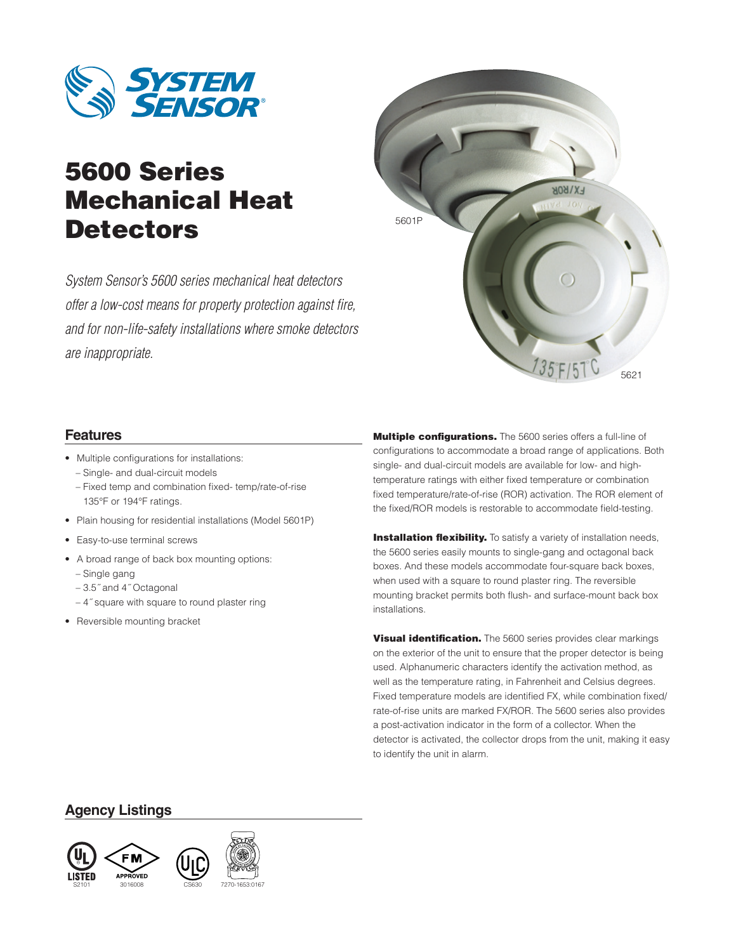

# 5600 Series Mechanical Heat Detectors

*System Sensor's 5600 series mechanical heat detectors offer a low-cost means for property protection against fire, and for non-life-safety installations where smoke detectors are inappropriate.*



# **Features**

- Multiple configurations for installations: – Single- and dual-circuit models
	- Fixed temp and combination fixed- temp/rate-of-rise 135°F or 194°F ratings.
- Plain housing for residential installations (Model 5601P)
- Easy-to-use terminal screws
- A broad range of back box mounting options:
	- Single gang
	- 3.5˝ and 4˝ Octagonal
	- 4˝ square with square to round plaster ring
- Reversible mounting bracket

Multiple configurations. The 5600 series offers a full-line of configurations to accommodate a broad range of applications. Both single- and dual-circuit models are available for low- and hightemperature ratings with either fixed temperature or combination fixed temperature/rate-of-rise (ROR) activation. The ROR element of the fixed/ROR models is restorable to accommodate field-testing.

**Installation flexibility.** To satisfy a variety of installation needs, the 5600 series easily mounts to single-gang and octagonal back boxes. And these models accommodate four-square back boxes, when used with a square to round plaster ring. The reversible mounting bracket permits both flush- and surface-mount back box installations.

**Visual identification.** The 5600 series provides clear markings on the exterior of the unit to ensure that the proper detector is being used. Alphanumeric characters identify the activation method, as well as the temperature rating, in Fahrenheit and Celsius degrees. Fixed temperature models are identified FX, while combination fixed/ rate-of-rise units are marked FX/ROR. The 5600 series also provides a post-activation indicator in the form of a collector. When the detector is activated, the collector drops from the unit, making it easy to identify the unit in alarm.

## **Agency Listings**